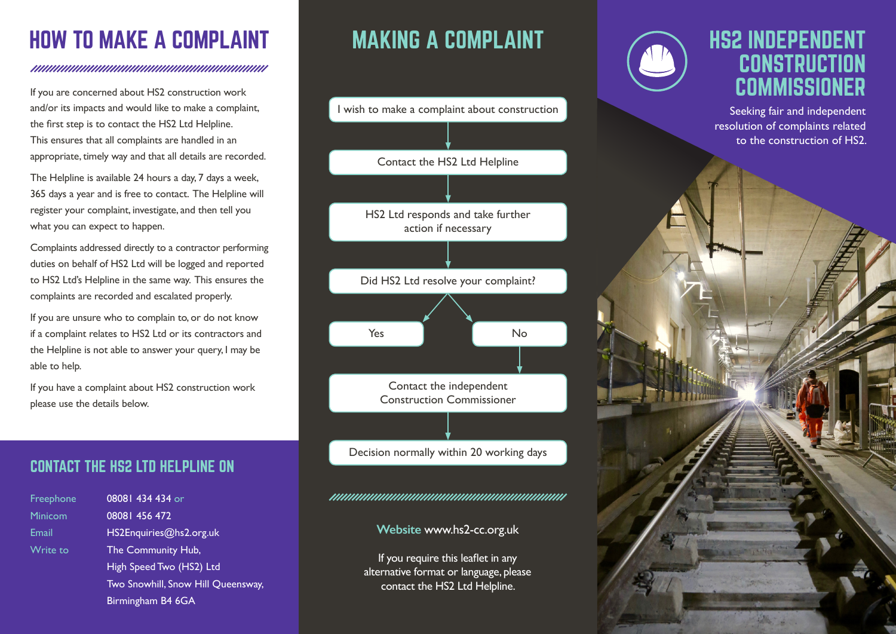# HOW TO MAKE A COMPLAINT

#### www.www.www.www.www.www.ww

If you are concerned about HS2 construction work and/or its impacts and would like to make a complaint, the first step is to contact the HS2 Ltd Helpline. This ensures that all complaints are handled in an appropriate, timely way and that all details are recorded.

The Helpline is available 24 hours a day, 7 days a week, 365 days a year and is free to contact. The Helpline will register your complaint, investigate, and then tell you what you can expect to happen.

Complaints addressed directly to a contractor performing duties on behalf of HS2 Ltd will be logged and reported to HS2 Ltd's Helpline in the same way. This ensures the complaints are recorded and escalated properly.

If you are unsure who to complain to, or do not know if a complaint relates to HS2 Ltd or its contractors and the Helpline is not able to answer your query, I may be able to help.

If you have a complaint about HS2 construction work please use the details below.

### CONTACT THE HS2 LTD HELPLINE ON

**Freeph Minico** 

Write

| Freephone      | 08081 434 434 or          |
|----------------|---------------------------|
| <b>Minicom</b> | 08081 456 472             |
| Email          | HS2Enquiries@hs2.org.uk   |
| Write to       | The Community Hub,        |
|                | High Speed Two (HS2) Ltd  |
|                | Two Snowhill, Snow Hill Q |
|                | Birmingham B4 6GA         |

**Oueensway,** 

# MAKING A COMPLAINT



#### **Website** www.hs2-cc.org.uk

If you require this leaflet in any alternative format or language, please contact the HS2 Ltd Helpline.



### **HS2 INDEPENDENT CONSTRUCTION COMMISSIONER**

Seeking fair and independent resolution of complaints related to the construction of HS2.